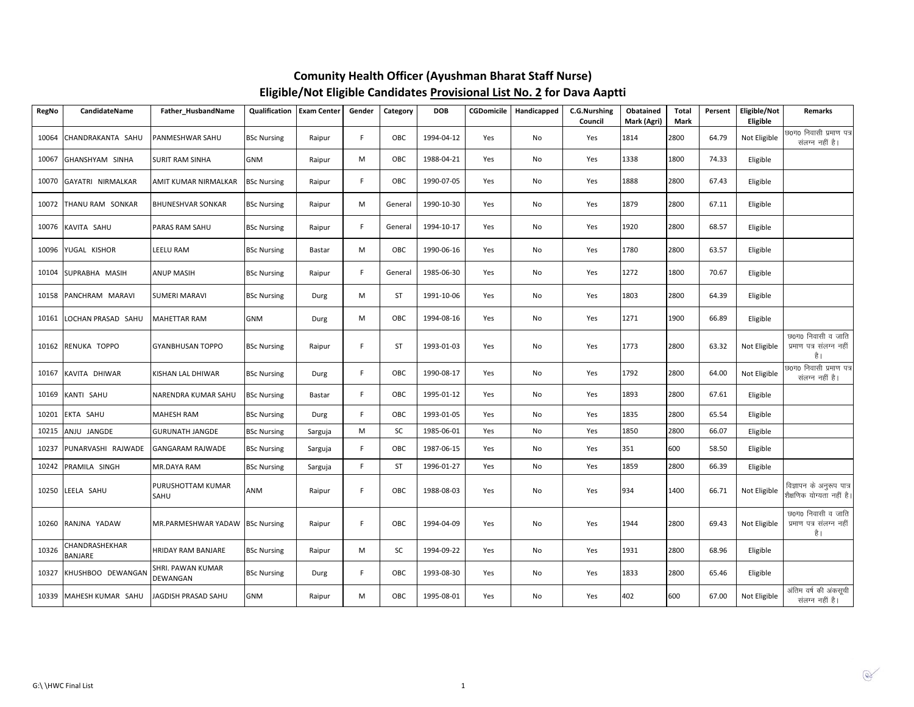| RegNo | CandidateName             | Father_HusbandName              | Qualification      | <b>Exam Center</b> | Gender | Category  | <b>DOB</b> | <b>CGDomicile</b> | Handicapped | <b>C.G.Nurshing</b><br>Council | Obatained<br>Mark (Agri) | <b>Total</b><br>Mark | Persent | Eligible/Not<br>Eligible | Remarks                                              |
|-------|---------------------------|---------------------------------|--------------------|--------------------|--------|-----------|------------|-------------------|-------------|--------------------------------|--------------------------|----------------------|---------|--------------------------|------------------------------------------------------|
| 10064 | CHANDRAKANTA SAHU         | PANMESHWAR SAHU                 | <b>BSc Nursing</b> | Raipur             | F.     | OBC       | 1994-04-12 | Yes               | No          | Yes                            | 1814                     | 2800                 | 64.79   | Not Eligible             | छ0ग0 निवासी प्रमाण पत्र<br>संलग्न नहीं है।           |
| 10067 | GHANSHYAM SINHA           | <b>SURIT RAM SINHA</b>          | <b>GNM</b>         | Raipur             | M      | OBC       | 1988-04-21 | Yes               | No          | Yes                            | 1338                     | 1800                 | 74.33   | Eligible                 |                                                      |
| 10070 | GAYATRI NIRMALKAR         | AMIT KUMAR NIRMALKAR            | <b>BSc Nursing</b> | Raipur             | F.     | OBC       | 1990-07-05 | Yes               | No          | Yes                            | 1888                     | 2800                 | 67.43   | Eligible                 |                                                      |
|       | 10072 THANU RAM SONKAR    | <b>BHUNESHVAR SONKAR</b>        | <b>BSc Nursing</b> | Raipur             | M      | General   | 1990-10-30 | Yes               | No          | Yes                            | 1879                     | 2800                 | 67.11   | Eligible                 |                                                      |
|       | 10076 KAVITA SAHU         | PARAS RAM SAHU                  | <b>BSc Nursing</b> | Raipur             | F.     | General   | 1994-10-17 | Yes               | No          | Yes                            | 1920                     | 2800                 | 68.57   | Eligible                 |                                                      |
| 10096 | YUGAL KISHOR              | LEELU RAM                       | <b>BSc Nursing</b> | Bastar             | M      | OBC       | 1990-06-16 | Yes               | No          | Yes                            | 1780                     | 2800                 | 63.57   | Eligible                 |                                                      |
| 10104 | SUPRABHA MASIH            | ANUP MASIH                      | <b>BSc Nursing</b> | Raipur             | F      | General   | 1985-06-30 | Yes               | No          | Yes                            | 1272                     | 1800                 | 70.67   | Eligible                 |                                                      |
|       | 10158 PANCHRAM MARAVI     | <b>SUMERI MARAVI</b>            | <b>BSc Nursing</b> | Durg               | M      | <b>ST</b> | 1991-10-06 | Yes               | No          | Yes                            | 1803                     | 2800                 | 64.39   | Eligible                 |                                                      |
|       | 10161 LOCHAN PRASAD SAHU  | MAHETTAR RAM                    | <b>GNM</b>         | Durg               | M      | OBC       | 1994-08-16 | Yes               | No          | Yes                            | 1271                     | 1900                 | 66.89   | Eligible                 |                                                      |
|       | 10162 RENUKA TOPPO        | <b>GYANBHUSAN TOPPO</b>         | <b>BSc Nursing</b> | Raipur             | F.     | <b>ST</b> | 1993-01-03 | Yes               | No          | Yes                            | 1773                     | 2800                 | 63.32   | Not Eligible             | छ0ग0 निवासी व जाति<br>प्रमाण पत्र संलग्न नहीं<br>है। |
| 10167 | KAVITA DHIWAR             | KISHAN LAL DHIWAR               | <b>BSc Nursing</b> | Durg               | F.     | OBC       | 1990-08-17 | Yes               | No          | Yes                            | 1792                     | 2800                 | 64.00   | Not Eligible             | छ0ग0 निवासी प्रमाण पत्र<br>संलग्न नहीं है।           |
| 10169 | KANTI SAHU                | NARENDRA KUMAR SAHU             | <b>BSc Nursing</b> | Bastar             | F.     | OBC       | 1995-01-12 | Yes               | No          | Yes                            | 1893                     | 2800                 | 67.61   | Eligible                 |                                                      |
| 10201 | EKTA SAHU                 | <b>MAHESH RAM</b>               | <b>BSc Nursing</b> | Durg               | F      | OBC       | 1993-01-05 | Yes               | No          | Yes                            | 1835                     | 2800                 | 65.54   | Eligible                 |                                                      |
| 10215 | ANJU JANGDE               | <b>GURUNATH JANGDE</b>          | <b>BSc Nursing</b> | Sarguja            | M      | SC        | 1985-06-01 | Yes               | No          | Yes                            | 1850                     | 2800                 | 66.07   | Eligible                 |                                                      |
| 10237 | PUNARVASHI RAJWADE        | GANGARAM RAJWADE                | <b>BSc Nursing</b> | Sarguja            | F.     | OBC       | 1987-06-15 | Yes               | No          | Yes                            | 351                      | 600                  | 58.50   | Eligible                 |                                                      |
| 10242 | PRAMILA SINGH             | MR.DAYA RAM                     | <b>BSc Nursing</b> | Sarguja            | F      | <b>ST</b> | 1996-01-27 | Yes               | No          | Yes                            | 1859                     | 2800                 | 66.39   | Eligible                 |                                                      |
|       | 10250 LEELA SAHU          | PURUSHOTTAM KUMAR<br>SAHU       | ANM                | Raipur             | F      | OBC       | 1988-08-03 | Yes               | No          | Yes                            | 934                      | 1400                 | 66.71   | Not Eligible             | विज्ञापन के अनुरूप पात्र<br>शैक्षणिक योग्यता नहीं है |
| 10260 | RANJNA YADAW              | MR.PARMESHWAR YADAW BSc Nursing |                    | Raipur             | F.     | OBC       | 1994-04-09 | Yes               | No          | Yes                            | 1944                     | 2800                 | 69.43   | Not Eligible             | छ0ग0 निवासी व जाति<br>प्रमाण पत्र संलग्न नहीं<br>है। |
| 10326 | CHANDRASHEKHAR<br>BANJARE | HRIDAY RAM BANJARE              | <b>BSc Nursing</b> | Raipur             | M      | SC        | 1994-09-22 | Yes               | No          | Yes                            | 1931                     | 2800                 | 68.96   | Eligible                 |                                                      |
| 10327 | KHUSHBOO DEWANGAN         | SHRI. PAWAN KUMAR<br>DEWANGAN   | <b>BSc Nursing</b> | Durg               | F      | OBC       | 1993-08-30 | Yes               | No          | Yes                            | 1833                     | 2800                 | 65.46   | Eligible                 |                                                      |
|       | 10339 MAHESH KUMAR SAHU   | JAGDISH PRASAD SAHU             | <b>GNM</b>         | Raipur             | M      | OBC       | 1995-08-01 | Yes               | No          | Yes                            | 402                      | 600                  | 67.00   | Not Eligible             | अंतिम वर्ष की अंकसूची<br>संलग्न नहीं है।             |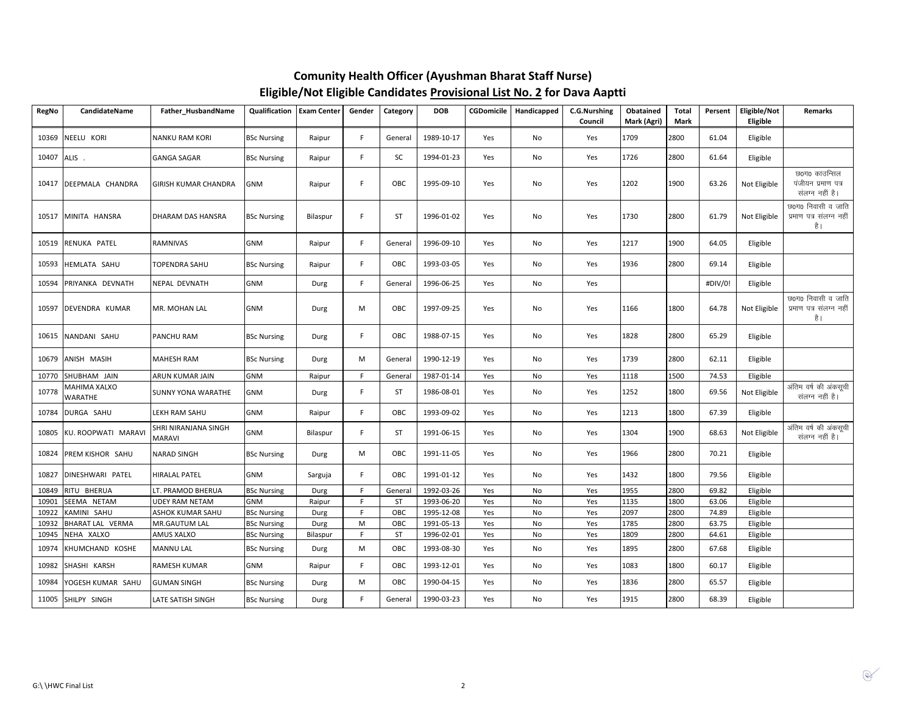| <b>RegNo</b> | CandidateName           | Father_HusbandName                    | Qualification      | <b>Exam Center</b> | Gender      | Category  | <b>DOB</b> | <b>CGDomicile</b> | Handicapped | C.G.Nurshing<br>Council | Obatained<br>Mark (Agri) | Total<br>Mark | Persent | Eligible/Not<br>Eligible | <b>Remarks</b>                                         |
|--------------|-------------------------|---------------------------------------|--------------------|--------------------|-------------|-----------|------------|-------------------|-------------|-------------------------|--------------------------|---------------|---------|--------------------------|--------------------------------------------------------|
| 10369        | NEELU KORI              | NANKU RAM KORI                        | <b>BSc Nursing</b> | Raipur             | F.          | General   | 1989-10-17 | Yes               | No          | Yes                     | 1709                     | 2800          | 61.04   | Eligible                 |                                                        |
| 10407        | ALIS.                   | <b>GANGA SAGAR</b>                    | <b>BSc Nursing</b> | Raipur             | F.          | SC        | 1994-01-23 | Yes               | No          | Yes                     | 1726                     | 2800          | 61.64   | Eligible                 |                                                        |
| 10417        | DEEPMALA CHANDRA        | <b>GIRISH KUMAR CHANDRA</b>           | <b>GNM</b>         | Raipur             | F.          | OBC       | 1995-09-10 | Yes               | No          | Yes                     | 1202                     | 1900          | 63.26   | Not Eligible             | छ0ग0 काउन्सिल<br>पंजीयन प्रमाण पत्र<br>संलग्न नहीं है। |
| 10517        | MINITA HANSRA           | DHARAM DAS HANSRA                     | <b>BSc Nursing</b> | Bilaspur           | F.          | <b>ST</b> | 1996-01-02 | Yes               | No          | Yes                     | 1730                     | 2800          | 61.79   | Not Eligible             | छ0ग0 निवासी व जाति<br>प्रमाण पत्र संलग्न नहीं<br>है ।  |
| 10519        | RENUKA PATEL            | <b>RAMNIVAS</b>                       | <b>GNM</b>         | Raipur             | F.          | General   | 1996-09-10 | Yes               | No          | Yes                     | 1217                     | 1900          | 64.05   | Eligible                 |                                                        |
| 10593        | HEMLATA SAHU            | <b>TOPENDRA SAHU</b>                  | <b>BSc Nursing</b> | Raipur             | F.          | OBC       | 1993-03-05 | Yes               | No          | Yes                     | 1936                     | 2800          | 69.14   | Eligible                 |                                                        |
| 10594        | PRIYANKA DEVNATH        | NEPAL DEVNATH                         | <b>GNM</b>         | Durg               | $\mathsf F$ | General   | 1996-06-25 | Yes               | No          | Yes                     |                          |               | #DIV/0! | Eligible                 |                                                        |
| 10597        | DEVENDRA KUMAR          | MR. MOHAN LAL                         | <b>GNM</b>         | Durg               | M           | OBC       | 1997-09-25 | Yes               | No          | Yes                     | 1166                     | 1800          | 64.78   | Not Eligible             | छ0ग0 निवासी व जाति<br>प्रमाण पत्र संलग्न नहीं<br>है ।  |
| 10615        | NANDANI SAHU            | PANCHU RAM                            | <b>BSc Nursing</b> | Durg               | F.          | OBC       | 1988-07-15 | Yes               | No          | Yes                     | 1828                     | 2800          | 65.29   | Eligible                 |                                                        |
| 10679        | ANISH MASIH             | <b>MAHESH RAM</b>                     | <b>BSc Nursing</b> | Durg               | M           | General   | 1990-12-19 | Yes               | No          | Yes                     | 1739                     | 2800          | 62.11   | Eligible                 |                                                        |
| 10770        | SHUBHAM JAIN            | ARUN KUMAR JAIN                       | <b>GNM</b>         | Raipur             | F.          | General   | 1987-01-14 | Yes               | No          | Yes                     | 1118                     | 1500          | 74.53   | Eligible                 |                                                        |
| 10778        | MAHIMA XALXO<br>WARATHE | <b>SUNNY YONA WARATHE</b>             | <b>GNM</b>         | Durg               | F.          | ST        | 1986-08-01 | Yes               | No          | Yes                     | 1252                     | 1800          | 69.56   | Not Eligible             | अंतिम वर्ष की अंकसूची<br>संलग्न नहीं है।               |
| 10784        | DURGA SAHU              | LEKH RAM SAHU                         | <b>GNM</b>         | Raipur             | F.          | OBC       | 1993-09-02 | Yes               | No          | Yes                     | 1213                     | 1800          | 67.39   | Eligible                 |                                                        |
| 10805        | KU. ROOPWATI MARAV      | SHRI NIRANJANA SINGH<br><b>MARAVI</b> | <b>GNM</b>         | Bilaspur           | F.          | <b>ST</b> | 1991-06-15 | Yes               | No          | Yes                     | 1304                     | 1900          | 68.63   | Not Eligible             | अंतिम वर्ष की अंकसूची<br>संलग्न नहीं है।               |
| 10824        | PREM KISHOR SAHU        | <b>NARAD SINGH</b>                    | <b>BSc Nursing</b> | Durg               | M           | OBC       | 1991-11-05 | Yes               | No          | Yes                     | 1966                     | 2800          | 70.21   | Eligible                 |                                                        |
| 10827        | DINESHWARI PATEL        | <b>HIRALAL PATEL</b>                  | <b>GNM</b>         | Sarguja            | F.          | OBC       | 1991-01-12 | Yes               | No          | Yes                     | 1432                     | 1800          | 79.56   | Eligible                 |                                                        |
| 10849        | RITU BHERUA             | LT. PRAMOD BHERUA                     | <b>BSc Nursing</b> | Durg               | F.          | General   | 1992-03-26 | Yes               | No          | Yes                     | 1955                     | 2800          | 69.82   | Eligible                 |                                                        |
| 10901        | SEEMA NETAM             | <b>UDEY RAM NETAM</b>                 | <b>GNM</b>         | Raipur             | F.          | <b>ST</b> | 1993-06-20 | Yes               | No          | Yes                     | 1135                     | 1800          | 63.06   | Eligible                 |                                                        |
| 10922        | KAMINI SAHU             | ASHOK KUMAR SAHU                      | <b>BSc Nursing</b> | Durg               | F.          | OBC       | 1995-12-08 | Yes               | No          | Yes                     | 2097                     | 2800          | 74.89   | Eligible                 |                                                        |
| 10932        | BHARAT LAL VERMA        | MR.GAUTUM LAL                         | <b>BSc Nursing</b> | Durg               | M           | OBC       | 1991-05-13 | Yes               | No          | Yes                     | 1785                     | 2800          | 63.75   | Eligible                 |                                                        |
| 10945        | NEHA XALXO              | AMUS XALXO                            | <b>BSc Nursing</b> | Bilaspur           | F.          | ST        | 1996-02-01 | Yes               | No          | Yes                     | 1809                     | 2800          | 64.61   | Eligible                 |                                                        |
| 10974        | KHUMCHAND KOSHE         | <b>MANNU LAL</b>                      | <b>BSc Nursing</b> | Durg               | M           | OBC       | 1993-08-30 | Yes               | No          | Yes                     | 1895                     | 2800          | 67.68   | Eligible                 |                                                        |
| 10982        | SHASHI KARSH            | RAMESH KUMAR                          | <b>GNM</b>         | Raipur             | F.          | OBC       | 1993-12-01 | Yes               | No          | Yes                     | 1083                     | 1800          | 60.17   | Eligible                 |                                                        |
| 10984        | YOGESH KUMAR SAHU       | <b>GUMAN SINGH</b>                    | <b>BSc Nursing</b> | Durg               | M           | OBC       | 1990-04-15 | Yes               | No          | Yes                     | 1836                     | 2800          | 65.57   | Eligible                 |                                                        |
| 11005        | SHILPY SINGH            | LATE SATISH SINGH                     | <b>BSc Nursing</b> | Durg               | F.          | General   | 1990-03-23 | Yes               | No          | Yes                     | 1915                     | 2800          | 68.39   | Eligible                 |                                                        |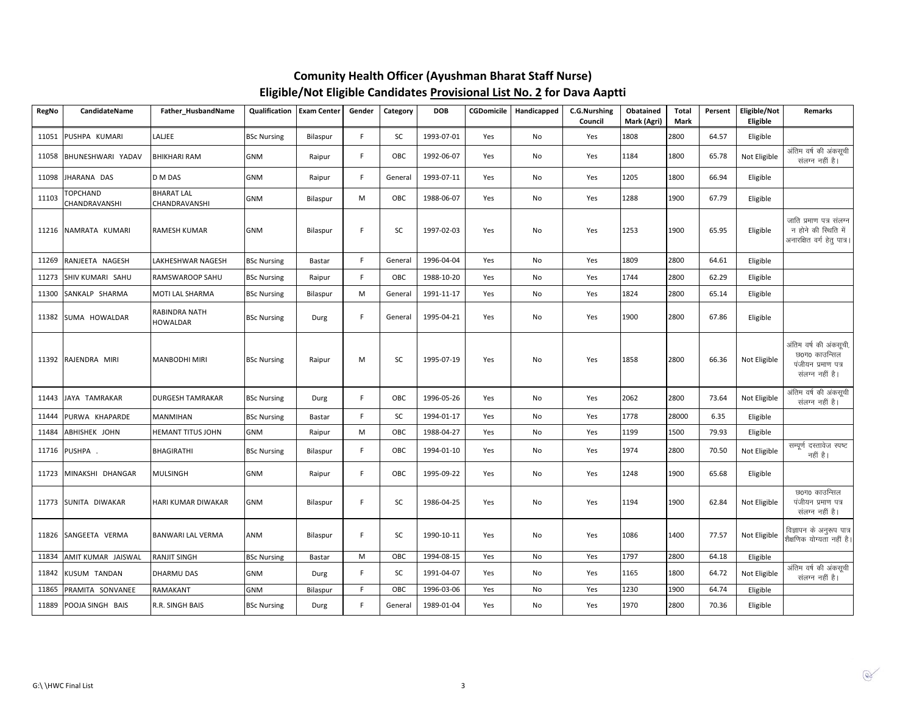| RegNo | <b>CandidateName</b>             | Father HusbandName                 | <b>Qualification</b> | <b>Exam Center</b> | Gender | Category | <b>DOB</b> | <b>CGDomicile</b> | Handicapped | <b>C.G.Nurshing</b><br>Council | Obatained<br>Mark (Agri) | <b>Total</b><br>Mark | Persent | Eligible/Not<br>Eligible | <b>Remarks</b>                                                                   |
|-------|----------------------------------|------------------------------------|----------------------|--------------------|--------|----------|------------|-------------------|-------------|--------------------------------|--------------------------|----------------------|---------|--------------------------|----------------------------------------------------------------------------------|
| 11051 | PUSHPA KUMARI                    | LALIEE                             | <b>BSc Nursing</b>   | Bilaspur           | F.     | SC       | 1993-07-01 | Yes               | No          | Yes                            | 1808                     | 2800                 | 64.57   | Eligible                 |                                                                                  |
|       | 11058 BHUNESHWARI YADAV          | <b>BHIKHARI RAM</b>                | <b>GNM</b>           | Raipur             | F.     | OBC      | 1992-06-07 | Yes               | No          | Yes                            | 1184                     | 1800                 | 65.78   | Not Eligible             | अंतिम वर्ष की अंकसूची<br>संलग्न नहीं है।                                         |
|       | 11098 JHARANA DAS                | D M DAS                            | <b>GNM</b>           | Raipur             | F.     | General  | 1993-07-11 | Yes               | No          | Yes                            | 1205                     | 1800                 | 66.94   | Eligible                 |                                                                                  |
| 11103 | <b>TOPCHAND</b><br>CHANDRAVANSHI | <b>BHARAT LAL</b><br>CHANDRAVANSHI | <b>GNM</b>           | Bilaspur           | M      | OBC      | 1988-06-07 | Yes               | No          | Yes                            | 1288                     | 1900                 | 67.79   | Eligible                 |                                                                                  |
|       | 11216 NAMRATA KUMARI             | <b>RAMESH KUMAR</b>                | <b>GNM</b>           | Bilaspur           | F.     | SC       | 1997-02-03 | Yes               | No          | Yes                            | 1253                     | 1900                 | 65.95   | Eligible                 | जाति प्रमाण पत्र संलग्न<br>न होने की स्थिति में<br>अनारक्षित वर्ग हेतु पात्र।    |
| 11269 | RANJEETA NAGESH                  | LAKHESHWAR NAGESH                  | <b>BSc Nursing</b>   | Bastar             | F.     | General  | 1996-04-04 | Yes               | No          | Yes                            | 1809                     | 2800                 | 64.61   | Eligible                 |                                                                                  |
| 11273 | SHIV KUMARI SAHU                 | RAMSWAROOP SAHU                    | <b>BSc Nursing</b>   | Raipur             | F.     | OBC      | 1988-10-20 | Yes               | No          | Yes                            | 1744                     | 2800                 | 62.29   | Eligible                 |                                                                                  |
| 11300 | SANKALP SHARMA                   | <b>MOTI LAL SHARMA</b>             | <b>BSc Nursing</b>   | Bilaspur           | M      | General  | 1991-11-17 | Yes               | No          | Yes                            | 1824                     | 2800                 | 65.14   | Eligible                 |                                                                                  |
|       | 11382 SUMA HOWALDAR              | RABINDRA NATH<br><b>HOWALDAR</b>   | <b>BSc Nursing</b>   | Durg               | F      | General  | 1995-04-21 | Yes               | No          | Yes                            | 1900                     | 2800                 | 67.86   | Eligible                 |                                                                                  |
|       | 11392 RAJENDRA MIRI              | <b>MANBODHI MIRI</b>               | <b>BSc Nursing</b>   | Raipur             | M      | SC       | 1995-07-19 | Yes               | No          | Yes                            | 1858                     | 2800                 | 66.36   | Not Eligible             | अंतिम वर्ष की अंकसूची,<br>छ0ग0 काउन्सिल<br>पंजीयन प्रमाण पत्र<br>संलग्न नहीं है। |
|       | 11443 JAYA TAMRAKAR              | <b>DURGESH TAMRAKAR</b>            | <b>BSc Nursing</b>   | Durg               | F.     | OBC      | 1996-05-26 | Yes               | No          | Yes                            | 2062                     | 2800                 | 73.64   | Not Eligible             | अंतिम वर्ष की अंकसूची<br>संलग्न नहीं है।                                         |
| 11444 | PURWA KHAPARDE                   | <b>MANMIHAN</b>                    | <b>BSc Nursing</b>   | Bastar             | F.     | SC       | 1994-01-17 | Yes               | No          | Yes                            | 1778                     | 28000                | 6.35    | Eligible                 |                                                                                  |
| 11484 | ABHISHEK JOHN                    | <b>HEMANT TITUS JOHN</b>           | <b>GNM</b>           | Raipur             | M      | OBC      | 1988-04-27 | Yes               | No          | Yes                            | 1199                     | 1500                 | 79.93   | Eligible                 |                                                                                  |
|       | 11716 PUSHPA .                   | <b>BHAGIRATHI</b>                  | <b>BSc Nursing</b>   | Bilaspur           | F.     | OBC      | 1994-01-10 | Yes               | No          | Yes                            | 1974                     | 2800                 | 70.50   | Not Eligible             | सम्पूर्ण दस्तावेज स्पष्ट<br>नहीं है।                                             |
|       | 11723 MINAKSHI DHANGAR           | <b>MULSINGH</b>                    | <b>GNM</b>           | Raipur             | F.     | OBC      | 1995-09-22 | Yes               | No          | Yes                            | 1248                     | 1900                 | 65.68   | Eligible                 |                                                                                  |
|       | 11773 SUNITA DIWAKAR             | <b>HARI KUMAR DIWAKAR</b>          | <b>GNM</b>           | Bilaspur           | F.     | SC       | 1986-04-25 | Yes               | No          | Yes                            | 1194                     | 1900                 | 62.84   | Not Eligible             | छ0ग0 काउन्सिल<br>पंजीयन प्रमाण पत्र<br>संलग्न नहीं है।                           |
|       | 11826 SANGEETA VERMA             | <b>BANWARI LAL VERMA</b>           | <b>ANM</b>           | Bilaspur           | F.     | SC       | 1990-10-11 | Yes               | No          | Yes                            | 1086                     | 1400                 | 77.57   | Not Eligible             | विज्ञापन के अनुरूप पात्र<br>शैक्षणिक योग्यता नहीं है।                            |
| 11834 | AMIT KUMAR JAISWAL               | <b>RANJIT SINGH</b>                | <b>BSc Nursing</b>   | Bastar             | M      | OBC      | 1994-08-15 | Yes               | No          | Yes                            | 1797                     | 2800                 | 64.18   | Eligible                 |                                                                                  |
| 11842 | KUSUM TANDAN                     | DHARMU DAS                         | <b>GNM</b>           | Durg               | F.     | SC       | 1991-04-07 | Yes               | No          | Yes                            | 1165                     | 1800                 | 64.72   | Not Eligible             | अंतिम वर्ष की अंकसूची<br>संलग्न नहीं है।                                         |
| 11865 | PRAMITA SONVANEE                 | RAMAKANT                           | GNM                  | Bilaspur           | F.     | OBC      | 1996-03-06 | Yes               | No          | Yes                            | 1230                     | 1900                 | 64.74   | Eligible                 |                                                                                  |
|       | 11889 POOJA SINGH BAIS           | R.R. SINGH BAIS                    | <b>BSc Nursing</b>   | Durg               | F.     | General  | 1989-01-04 | Yes               | No          | Yes                            | 1970                     | 2800                 | 70.36   | Eligible                 |                                                                                  |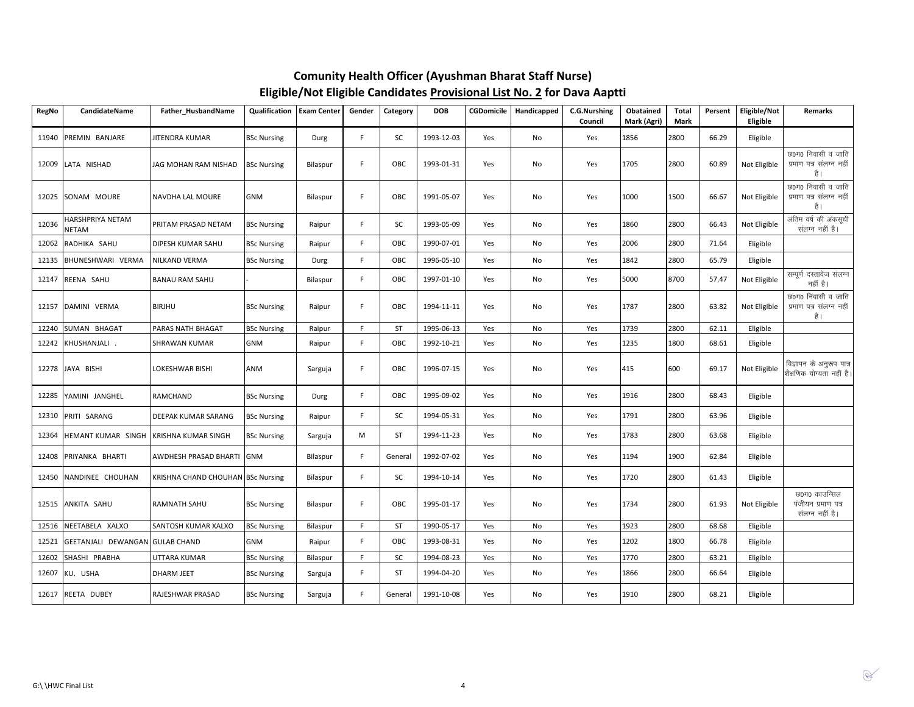| <b>RegNo</b> | CandidateName                   | Father_HusbandName                       | Qualification      | <b>Exam Center</b> | Gender | Category  | <b>DOB</b> | <b>CGDomicile</b> | Handicapped | C.G.Nurshing<br>Council | Obatained<br>Mark (Agri) | Total<br>Mark | Persent | Eligible/Not<br>Eligible | Remarks                                                |
|--------------|---------------------------------|------------------------------------------|--------------------|--------------------|--------|-----------|------------|-------------------|-------------|-------------------------|--------------------------|---------------|---------|--------------------------|--------------------------------------------------------|
|              | 11940 PREMIN BANJARE            | JITENDRA KUMAR                           | <b>BSc Nursing</b> | Durg               | F      | SC        | 1993-12-03 | Yes               | No          | Yes                     | 1856                     | 2800          | 66.29   | Eligible                 |                                                        |
|              | 12009 LATA NISHAD               | JAG MOHAN RAM NISHAD                     | <b>BSc Nursing</b> | Bilaspur           | F      | OBC       | 1993-01-31 | Yes               | No          | Yes                     | 1705                     | 2800          | 60.89   | Not Eligible             | छ0ग0 निवासी व जाति<br>प्रमाण पत्र संलग्न नहीं<br>है ।  |
|              | 12025 SONAM MOURE               | NAVDHA LAL MOURE                         | <b>GNM</b>         | Bilaspur           | F      | OBC       | 1991-05-07 | Yes               | No          | Yes                     | 1000                     | 1500          | 66.67   | Not Eligible             | छ0ग0 निवासी व जाति<br>प्रमाण पत्र संलग्न नहीं<br>है ।  |
| 12036        | HARSHPRIYA NETAM<br>NETAM       | PRITAM PRASAD NETAM                      | <b>BSc Nursing</b> | Raipur             | F      | SC        | 1993-05-09 | Yes               | No          | Yes                     | 1860                     | 2800          | 66.43   | Not Eligible             | अंतिम वर्ष की अंकसूची<br>संलग्न नहीं है।               |
| 12062        | RADHIKA SAHU                    | DIPESH KUMAR SAHU                        | <b>BSc Nursing</b> | Raipur             | F.     | OBC       | 1990-07-01 | Yes               | No          | Yes                     | 2006                     | 2800          | 71.64   | Eligible                 |                                                        |
| 12135        | BHUNESHWARI VERMA               | <b>NILKAND VERMA</b>                     | <b>BSc Nursing</b> | Durg               | F.     | OBC       | 1996-05-10 | Yes               | No          | Yes                     | 1842                     | 2800          | 65.79   | Eligible                 |                                                        |
| 12147        | REENA SAHU                      | <b>BANAU RAM SAHU</b>                    |                    | Bilaspur           | F.     | OBC       | 1997-01-10 | Yes               | No          | Yes                     | 5000                     | 8700          | 57.47   | Not Eligible             | सम्पूर्ण दस्तावेज संलग्न<br>नहीं है।                   |
|              | 12157 DAMINI VERMA              | <b>BIRJHU</b>                            | <b>BSc Nursing</b> | Raipur             | F.     | OBC       | 1994-11-11 | Yes               | No          | Yes                     | 1787                     | 2800          | 63.82   | Not Eligible             | छ0ग0 निवासी व जाति<br>प्रमाण पत्र संलग्न नहीं<br>है ।  |
| 12240        | SUMAN BHAGAT                    | PARAS NATH BHAGAT                        | <b>BSc Nursing</b> | Raipur             | F      | <b>ST</b> | 1995-06-13 | Yes               | No          | Yes                     | 1739                     | 2800          | 62.11   | Eligible                 |                                                        |
|              | 12242 KHUSHANJALI .             | <b>SHRAWAN KUMAR</b>                     | <b>GNM</b>         | Raipur             | F      | OBC       | 1992-10-21 | Yes               | No          | Yes                     | 1235                     | 1800          | 68.61   | Eligible                 |                                                        |
|              | 12278 JAYA BISHI                | <b>LOKESHWAR BISHI</b>                   | ANM                | Sarguja            | F.     | OBC       | 1996-07-15 | Yes               | No          | Yes                     | 415                      | 600           | 69.17   | Not Eligible             | विज्ञापन के अनुरूप पात्र<br>शैक्षणिक योग्यता नहीं है।  |
|              | 12285 YAMINI JANGHEL            | <b>RAMCHAND</b>                          | <b>BSc Nursing</b> | Durg               | F      | OBC       | 1995-09-02 | Yes               | No          | Yes                     | 1916                     | 2800          | 68.43   | Eligible                 |                                                        |
|              | 12310 PRITI SARANG              | <b>DEEPAK KUMAR SARANG</b>               | <b>BSc Nursing</b> | Raipur             | F.     | SC        | 1994-05-31 | Yes               | No          | Yes                     | 1791                     | 2800          | 63.96   | Eligible                 |                                                        |
|              | 12364 HEMANT KUMAR SINGH        | <b>KRISHNA KUMAR SINGH</b>               | <b>BSc Nursing</b> | Sarguja            | M      | <b>ST</b> | 1994-11-23 | Yes               | No          | Yes                     | 1783                     | 2800          | 63.68   | Eligible                 |                                                        |
|              | 12408 PRIYANKA BHARTI           | AWDHESH PRASAD BHARTI                    | <b>GNM</b>         | Bilaspur           | F.     | General   | 1992-07-02 | Yes               | No          | Yes                     | 1194                     | 1900          | 62.84   | Eligible                 |                                                        |
|              | 12450 NANDINEE CHOUHAN          | <b>KRISHNA CHAND CHOUHAN BSc Nursing</b> |                    | Bilaspur           | F.     | SC        | 1994-10-14 | Yes               | No          | Yes                     | 1720                     | 2800          | 61.43   | Eligible                 |                                                        |
|              | 12515 ANKITA SAHU               | <b>RAMNATH SAHU</b>                      | <b>BSc Nursing</b> | Bilaspur           | F.     | OBC       | 1995-01-17 | Yes               | No          | Yes                     | 1734                     | 2800          | 61.93   | Not Eligible             | छ0ग0 काउन्सिल<br>पंजीयन प्रमाण पत्र<br>संलग्न नहीं है। |
| 12516        | NEETABELA XALXO                 | SANTOSH KUMAR XALXO                      | <b>BSc Nursing</b> | Bilaspur           | F      | <b>ST</b> | 1990-05-17 | Yes               | No          | Yes                     | 1923                     | 2800          | 68.68   | Eligible                 |                                                        |
| 12521        | GEETANJALI DEWANGAN GULAB CHAND |                                          | <b>GNM</b>         | Raipur             | F.     | OBC       | 1993-08-31 | Yes               | No          | Yes                     | 1202                     | 1800          | 66.78   | Eligible                 |                                                        |
| 12602        | SHASHI PRABHA                   | UTTARA KUMAR                             | <b>BSc Nursing</b> | Bilaspur           | F.     | SC        | 1994-08-23 | Yes               | No          | Yes                     | 1770                     | 2800          | 63.21   | Eligible                 |                                                        |
|              | 12607 KU. USHA                  | <b>DHARM JEET</b>                        | <b>BSc Nursing</b> | Sarguja            | F.     | <b>ST</b> | 1994-04-20 | Yes               | No          | Yes                     | 1866                     | 2800          | 66.64   | Eligible                 |                                                        |
|              | 12617 REETA DUBEY               | RAJESHWAR PRASAD                         | <b>BSc Nursing</b> | Sarguja            | F      | General   | 1991-10-08 | Yes               | No          | Yes                     | 1910                     | 2800          | 68.21   | Eligible                 |                                                        |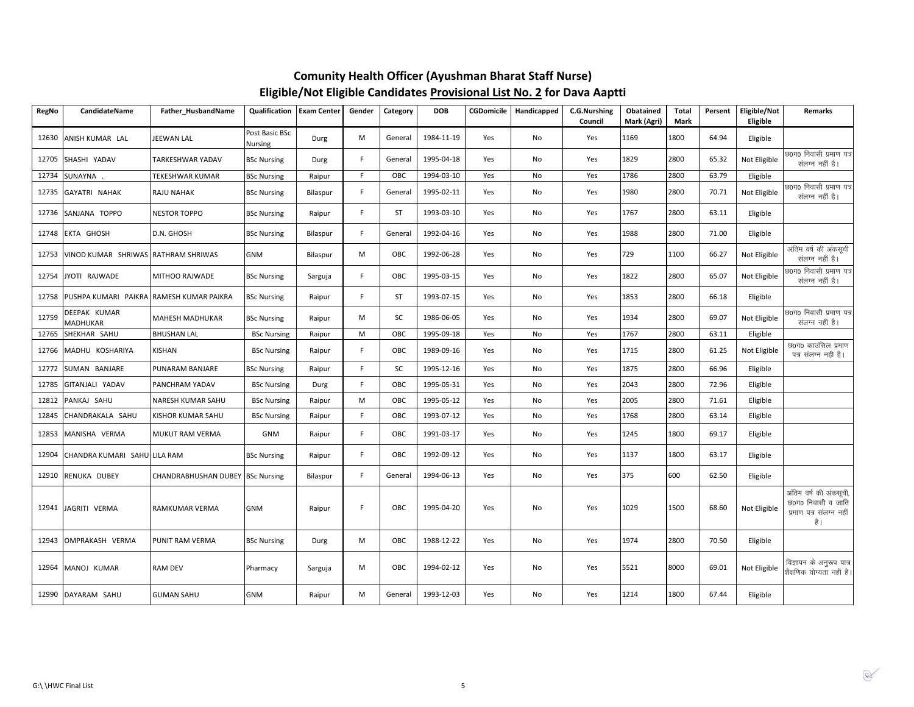| <b>RegNo</b> | CandidateName                            | Father_HusbandName               | Qualification             | <b>Exam Center</b> | Gender | Category  | <b>DOB</b> | CGDomicile | Handicapped | C.G.Nurshing<br>Council | Obatained<br>Mark (Agri) | <b>Total</b><br>Mark | Persent | Eligible/Not<br>Eligible | <b>Remarks</b>                                                                  |
|--------------|------------------------------------------|----------------------------------|---------------------------|--------------------|--------|-----------|------------|------------|-------------|-------------------------|--------------------------|----------------------|---------|--------------------------|---------------------------------------------------------------------------------|
| 12630        | ANISH KUMAR LAL                          | JEEWAN LAL                       | Post Basic BSc<br>Nursing | Durg               | M      | General   | 1984-11-19 | Yes        | No          | Yes                     | 1169                     | 1800                 | 64.94   | Eligible                 |                                                                                 |
| 12705        | SHASHI YADAV                             | TARKESHWAR YADAV                 | <b>BSc Nursing</b>        | Durg               | F.     | General   | 1995-04-18 | Yes        | No          | Yes                     | 1829                     | 2800                 | 65.32   | Not Eligible             | छ0ग0 निवासी प्रमाण पत्र<br>संलग्न नहीं है।                                      |
| 12734        | SUNAYNA                                  | TEKESHWAR KUMAR                  | <b>BSc Nursing</b>        | Raipur             | F.     | OBC       | 1994-03-10 | Yes        | No          | Yes                     | 1786                     | 2800                 | 63.79   | Eligible                 |                                                                                 |
| 12735        | GAYATRI NAHAK                            | RAJU NAHAK                       | <b>BSc Nursing</b>        | Bilaspur           | F.     | General   | 1995-02-11 | Yes        | No          | Yes                     | 1980                     | 2800                 | 70.71   | Not Eligible             | छ0ग0 निवासी प्रमाण पत्र<br>संलग्न नहीं है।                                      |
| 12736        | SANJANA TOPPO                            | <b>NESTOR TOPPO</b>              | <b>BSc Nursing</b>        | Raipur             | F.     | <b>ST</b> | 1993-03-10 | Yes        | No          | Yes                     | 1767                     | 2800                 | 63.11   | Eligible                 |                                                                                 |
| 12748        | EKTA GHOSH                               | D.N. GHOSH                       | <b>BSc Nursing</b>        | Bilaspur           | F.     | General   | 1992-04-16 | Yes        | No          | Yes                     | 1988                     | 2800                 | 71.00   | Eligible                 |                                                                                 |
| 12753        | VINOD KUMAR SHRIWAS RATHRAM SHRIWAS      |                                  | GNM                       | Bilaspur           | M      | OBC       | 1992-06-28 | Yes        | No          | Yes                     | 729                      | 1100                 | 66.27   | Not Eligible             | अंतिम वर्ष की अंकसूची<br>संलग्न नहीं है।                                        |
| 12754        | JYOTI RAJWADE                            | MITHOO RAJWADE                   | <b>BSc Nursing</b>        | Sarguja            | F.     | OBC       | 1995-03-15 | Yes        | No          | Yes                     | 1822                     | 2800                 | 65.07   | Not Eligible             | छ0ग0 निवासी प्रमाण पत्र<br>संलग्न नहीं है।                                      |
| 12758        | PUSHPA KUMARI PAIKRA RAMESH KUMAR PAIKRA |                                  | <b>BSc Nursing</b>        | Raipur             | F.     | <b>ST</b> | 1993-07-15 | Yes        | No          | Yes                     | 1853                     | 2800                 | 66.18   | Eligible                 |                                                                                 |
| 12759        | DEEPAK KUMAR<br>MADHUKAR                 | MAHESH MADHUKAR                  | <b>BSc Nursing</b>        | Raipur             | M      | SC        | 1986-06-05 | Yes        | No          | Yes                     | 1934                     | 2800                 | 69.07   | Not Eligible             | छ0ग0 निवासी प्रमाण पत्र<br>संलग्न नहीं है।                                      |
| 12765        | SHEKHAR SAHU                             | <b>BHUSHAN LAL</b>               | <b>BSc Nursing</b>        | Raipur             | M      | OBC       | 1995-09-18 | Yes        | No          | Yes                     | 1767                     | 2800                 | 63.11   | Eligible                 |                                                                                 |
| 12766        | MADHU KOSHARIYA                          | <b>KISHAN</b>                    | <b>BSc Nursing</b>        | Raipur             | F.     | OBC       | 1989-09-16 | Yes        | No          | Yes                     | 1715                     | 2800                 | 61.25   | Not Eligible             | छ0ग0 काउंसिल प्रमाण<br>पत्र संलग्न नही है।                                      |
| 12772        | SUMAN BANJARE                            | PUNARAM BANJARE                  | <b>BSc Nursing</b>        | Raipur             | F.     | SC        | 1995-12-16 | Yes        | No          | Yes                     | 1875                     | 2800                 | 66.96   | Eligible                 |                                                                                 |
| 12785        | GITANJALI YADAV                          | PANCHRAM YADAV                   | <b>BSc Nursing</b>        | Durg               | F.     | OBC       | 1995-05-31 | Yes        | No          | Yes                     | 2043                     | 2800                 | 72.96   | Eligible                 |                                                                                 |
| 12812        | PANKAJ SAHU                              | NARESH KUMAR SAHU                | <b>BSc Nursing</b>        | Raipur             | M      | OBC       | 1995-05-12 | Yes        | No          | Yes                     | 2005                     | 2800                 | 71.61   | Eligible                 |                                                                                 |
| 12845        | CHANDRAKALA SAHU                         | KISHOR KUMAR SAHU                | <b>BSc Nursing</b>        | Raipur             | F.     | OBC       | 1993-07-12 | Yes        | No          | Yes                     | 1768                     | 2800                 | 63.14   | Eligible                 |                                                                                 |
| 12853        | MANISHA VERMA                            | MUKUT RAM VERMA                  | <b>GNM</b>                | Raipur             | F.     | OBC       | 1991-03-17 | Yes        | No          | Yes                     | 1245                     | 1800                 | 69.17   | Eligible                 |                                                                                 |
| 12904        | CHANDRA KUMARI SAHU LILA RAM             |                                  | <b>BSc Nursing</b>        | Raipur             | F.     | OBC       | 1992-09-12 | Yes        | No          | Yes                     | 1137                     | 1800                 | 63.17   | Eligible                 |                                                                                 |
| 12910        | RENUKA DUBEY                             | CHANDRABHUSHAN DUBEY BSc Nursing |                           | Bilaspur           | F.     | General   | 1994-06-13 | Yes        | No          | Yes                     | 375                      | 600                  | 62.50   | Eligible                 |                                                                                 |
| 12941        | JAGRITI VERMA                            | RAMKUMAR VERMA                   | <b>GNM</b>                | Raipur             | F      | OBC       | 1995-04-20 | Yes        | No          | Yes                     | 1029                     | 1500                 | 68.60   | Not Eligible             | अंतिम वर्ष की अंकसूची,<br>छ0ग0 निवासी व जाति<br>प्रमाण पत्र संलग्न नहीं<br>है । |
| 12943        | OMPRAKASH VERMA                          | PUNIT RAM VERMA                  | <b>BSc Nursing</b>        | Durg               | M      | OBC       | 1988-12-22 | Yes        | No          | Yes                     | 1974                     | 2800                 | 70.50   | Eligible                 |                                                                                 |
| 12964        | MANOJ KUMAR                              | <b>RAM DEV</b>                   | Pharmacy                  | Sarguja            | M      | OBC       | 1994-02-12 | Yes        | No          | Yes                     | 5521                     | 8000                 | 69.01   | Not Eligible             | विज्ञापन के अनुरूप पात्र<br>शैक्षणिक योग्यता नहीं है                            |
|              | 12990 DAYARAM SAHU                       | <b>GUMAN SAHU</b>                | <b>GNM</b>                | Raipur             | M      | General   | 1993-12-03 | Yes        | No          | Yes                     | 1214                     | 1800                 | 67.44   | Eligible                 |                                                                                 |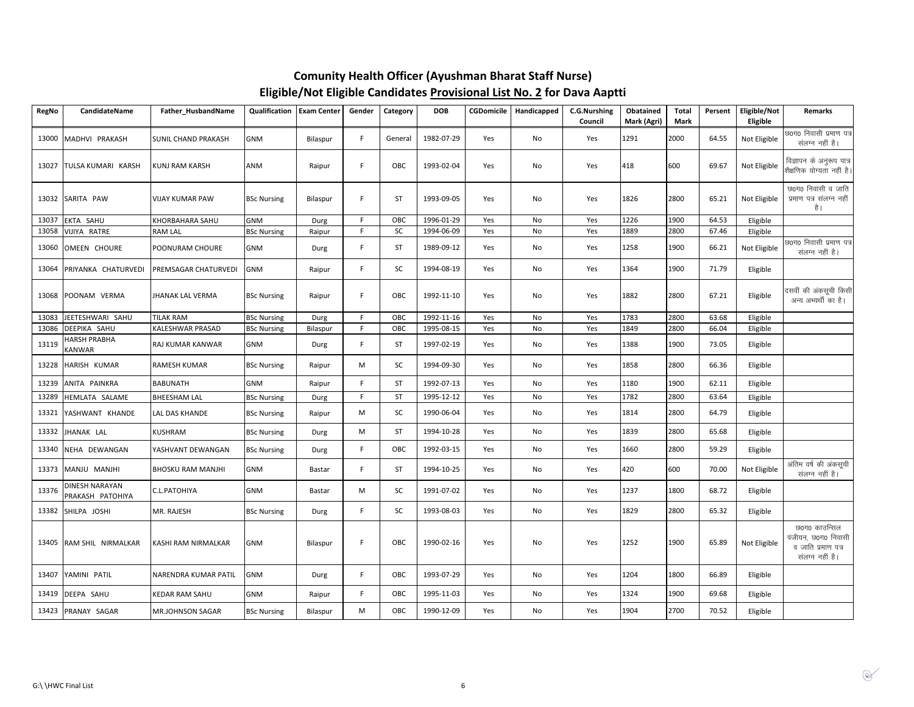| RegNo | <b>CandidateName</b>               | Father HusbandName         | <b>Qualification</b> | <b>Exam Center</b> | Gender      | Category  | <b>DOB</b> | <b>CGDomicile</b> | Handicapped | C.G.Nurshing<br>Council | Obatained<br>Mark (Agri) | <b>Total</b><br>Mark | Persent | Eligible/Not<br>Eligible | <b>Remarks</b>                                                                |
|-------|------------------------------------|----------------------------|----------------------|--------------------|-------------|-----------|------------|-------------------|-------------|-------------------------|--------------------------|----------------------|---------|--------------------------|-------------------------------------------------------------------------------|
| 13000 | MADHVI PRAKASH                     | <b>SUNIL CHAND PRAKASH</b> | GNM                  | Bilaspur           | F.          | General   | 1982-07-29 | Yes               | No          | Yes                     | 1291                     | 2000                 | 64.55   | Not Eligible             | छ0ग0 निवासी प्रमाण पत्र<br>संलग्न नहीं है।                                    |
| 13027 | TULSA KUMARI KARSH                 | <b>KUNJ RAM KARSH</b>      | ANM                  | Raipur             | F.          | OBC       | 1993-02-04 | Yes               | No          | Yes                     | 418                      | 600                  | 69.67   | Not Eligible             | विज्ञापन के अनुरूप पात्र<br>शैक्षणिक योग्यता नहीं है।                         |
| 13032 | SARITA PAW                         | <b>VIJAY KUMAR PAW</b>     | <b>BSc Nursing</b>   | Bilaspur           | F.          | <b>ST</b> | 1993-09-05 | Yes               | No          | Yes                     | 1826                     | 2800                 | 65.21   | Not Eligible             | छ0ग0 निवासी व जाति<br>प्रमाण पत्र संलग्न नहीं<br>है।                          |
| 13037 | EKTA SAHU                          | KHORBAHARA SAHU            | <b>GNM</b>           | Durg               | F.          | OBC       | 1996-01-29 | Yes               | No          | Yes                     | 1226                     | 1900                 | 64.53   | Eligible                 |                                                                               |
| 13058 | VIJIYA RATRE                       | RAM LAL                    | <b>BSc Nursing</b>   | Raipur             | $\mathsf F$ | SC        | 1994-06-09 | Yes               | No          | Yes                     | 1889                     | 2800                 | 67.46   | Eligible                 |                                                                               |
| 13060 | OMEEN CHOURE                       | POONURAM CHOURE            | <b>GNM</b>           | Durg               | F.          | ST        | 1989-09-12 | Yes               | No          | Yes                     | 1258                     | 1900                 | 66.21   | Not Eligible             | छ0ग0 निवासी प्रमाण पत्र<br>संलग्न नहीं है।                                    |
| 13064 | PRIYANKA CHATURVEDI                | PREMSAGAR CHATURVEDI       | <b>GNM</b>           | Raipur             | F.          | SC        | 1994-08-19 | Yes               | No          | Yes                     | 1364                     | 1900                 | 71.79   | Eligible                 |                                                                               |
| 13068 | POONAM VERMA                       | <b>JHANAK LAL VERMA</b>    | <b>BSc Nursing</b>   | Raipur             | F.          | OBC       | 1992-11-10 | Yes               | No          | Yes                     | 1882                     | 2800                 | 67.21   | Eligible                 | दसवीं की अंकसूची किसी<br>अन्य अभ्यर्थी का है।                                 |
| 13083 | JEETESHWARI SAHU                   | <b>TILAK RAM</b>           | <b>BSc Nursing</b>   | Durg               | F.          | OBC       | 1992-11-16 | Yes               | No          | Yes                     | 1783                     | 2800                 | 63.68   | Eligible                 |                                                                               |
| 13086 | DEEPIKA SAHU                       | KALESHWAR PRASAD           | <b>BSc Nursing</b>   | Bilaspur           | $\mathsf F$ | OBC       | 1995-08-15 | Yes               | No          | Yes                     | 1849                     | 2800                 | 66.04   | Eligible                 |                                                                               |
| 13119 | <b>HARSH PRABHA</b><br>KANWAR      | RAJ KUMAR KANWAR           | <b>GNM</b>           | Durg               | F.          | <b>ST</b> | 1997-02-19 | Yes               | No          | Yes                     | 1388                     | 1900                 | 73.05   | Eligible                 |                                                                               |
| 13228 | HARISH KUMAR                       | RAMESH KUMAR               | <b>BSc Nursing</b>   | Raipur             | M           | SC        | 1994-09-30 | Yes               | No          | Yes                     | 1858                     | 2800                 | 66.36   | Eligible                 |                                                                               |
| 13239 | ANITA PAINKRA                      | <b>BABUNATH</b>            | <b>GNM</b>           | Raipur             | F.          | <b>ST</b> | 1992-07-13 | Yes               | No          | Yes                     | 1180                     | 1900                 | 62.11   | Eligible                 |                                                                               |
| 13289 | HEMLATA SALAME                     | <b>BHEESHAM LAL</b>        | <b>BSc Nursing</b>   | Durg               | F.          | <b>ST</b> | 1995-12-12 | Yes               | No          | Yes                     | 1782                     | 2800                 | 63.64   | Eligible                 |                                                                               |
| 13321 | YASHWANT KHANDE                    | LAL DAS KHANDE             | <b>BSc Nursing</b>   | Raipur             | M           | SC        | 1990-06-04 | Yes               | No          | Yes                     | 1814                     | 2800                 | 64.79   | Eligible                 |                                                                               |
| 13332 | JHANAK LAL                         | <b>KUSHRAM</b>             | <b>BSc Nursing</b>   | Durg               | M           | <b>ST</b> | 1994-10-28 | Yes               | No          | Yes                     | 1839                     | 2800                 | 65.68   | Eligible                 |                                                                               |
| 13340 | NEHA DEWANGAN                      | YASHVANT DEWANGAN          | <b>BSc Nursing</b>   | Durg               | F.          | OBC       | 1992-03-15 | Yes               | No          | Yes                     | 1660                     | 2800                 | 59.29   | Eligible                 |                                                                               |
| 13373 | MANJU MANJHI                       | <b>BHOSKU RAM MANJHI</b>   | GNM                  | Bastar             | F.          | ST        | 1994-10-25 | Yes               | No          | Yes                     | 420                      | 600                  | 70.00   | Not Eligible             | अंतिम वर्ष की अंकसूची<br>संलग्न नहीं है।                                      |
| 13376 | DINESH NARAYAN<br>PRAKASH PATOHIYA | C.L.PATOHIYA               | GNM                  | Bastar             | M           | SC        | 1991-07-02 | Yes               | No          | Yes                     | 1237                     | 1800                 | 68.72   | Eligible                 |                                                                               |
| 13382 | SHILPA JOSHI                       | MR. RAJESH                 | <b>BSc Nursing</b>   | Durg               | F.          | SC        | 1993-08-03 | Yes               | No          | Yes                     | 1829                     | 2800                 | 65.32   | Eligible                 |                                                                               |
| 13405 | RAM SHIL NIRMALKAR                 | KASHI RAM NIRMALKAR        | <b>GNM</b>           | Bilaspur           | F.          | OBC       | 1990-02-16 | Yes               | No          | Yes                     | 1252                     | 1900                 | 65.89   | Not Eligible             | छ0ग0 काउन्सिल<br>पंजीयन, छ0ग0 निवासी<br>व जाति प्रमाण पत्र<br>संलग्न नहीं है। |
| 13407 | YAMINI PATIL                       | NARENDRA KUMAR PATIL       | GNM                  | Durg               | F.          | OBC       | 1993-07-29 | Yes               | No          | Yes                     | 1204                     | 1800                 | 66.89   | Eligible                 |                                                                               |
| 13419 | DEEPA SAHU                         | KEDAR RAM SAHU             | GNM                  | Raipur             | F.          | OBC       | 1995-11-03 | Yes               | No          | Yes                     | 1324                     | 1900                 | 69.68   | Eligible                 |                                                                               |
| 13423 | PRANAY SAGAR                       | MR.JOHNSON SAGAR           | <b>BSc Nursing</b>   | Bilaspur           | M           | OBC       | 1990-12-09 | Yes               | No          | Yes                     | 1904                     | 2700                 | 70.52   | Eligible                 |                                                                               |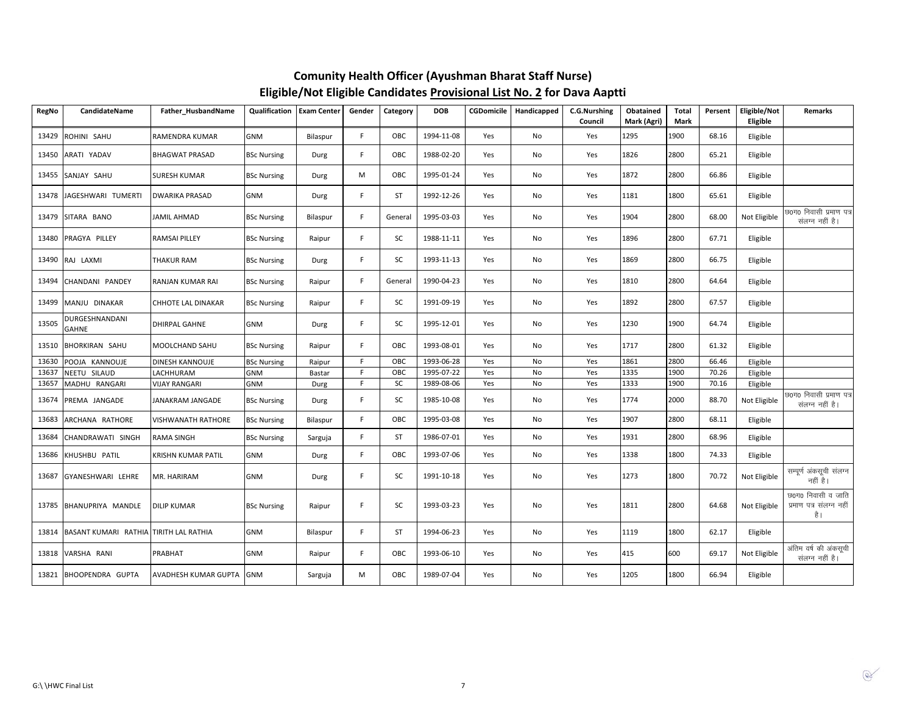| <b>RegNo</b> | CandidateName                          | Father_HusbandName          | Qualification      | <b>Exam Center</b> | Gender | Category  | <b>DOB</b> | CGDomicile | Handicapped | C.G.Nurshing<br>Council | Obatained<br>Mark (Agri) | Total<br>Mark | Persent | Eligible/Not<br>Eligible | Remarks                                              |
|--------------|----------------------------------------|-----------------------------|--------------------|--------------------|--------|-----------|------------|------------|-------------|-------------------------|--------------------------|---------------|---------|--------------------------|------------------------------------------------------|
| 13429        | ROHINI SAHU                            | RAMENDRA KUMAR              | <b>GNM</b>         | Bilaspur           | F.     | OBC       | 1994-11-08 | Yes        | No          | Yes                     | 1295                     | 1900          | 68.16   | Eligible                 |                                                      |
| 13450        | ARATI YADAV                            | <b>BHAGWAT PRASAD</b>       | <b>BSc Nursing</b> | Durg               | F.     | OBC       | 1988-02-20 | Yes        | No          | Yes                     | 1826                     | 2800          | 65.21   | Eligible                 |                                                      |
| 13455        | SANJAY SAHU                            | <b>SURESH KUMAR</b>         | <b>BSc Nursing</b> | Durg               | M      | OBC       | 1995-01-24 | Yes        | No          | Yes                     | 1872                     | 2800          | 66.86   | Eligible                 |                                                      |
| 13478        | JAGESHWARI TUMERTI                     | <b>DWARIKA PRASAD</b>       | <b>GNM</b>         | Durg               | F      | <b>ST</b> | 1992-12-26 | Yes        | No          | Yes                     | 1181                     | 1800          | 65.61   | Eligible                 |                                                      |
| 13479        | SITARA BANO                            | <b>JAMIL AHMAD</b>          | <b>BSc Nursing</b> | Bilaspur           | F      | General   | 1995-03-03 | Yes        | No          | Yes                     | 1904                     | 2800          | 68.00   | Not Eligible             | छ0ग0 निवासी प्रमाण पत्र<br>संलग्न नहीं है।           |
| 13480        | PRAGYA PILLEY                          | <b>RAMSAI PILLEY</b>        | <b>BSc Nursing</b> | Raipur             | F.     | SC        | 1988-11-11 | Yes        | No          | Yes                     | 1896                     | 2800          | 67.71   | Eligible                 |                                                      |
| 13490        | RAJ LAXMI                              | <b>THAKUR RAM</b>           | <b>BSc Nursing</b> | Durg               | F.     | SC        | 1993-11-13 | Yes        | No          | Yes                     | 1869                     | 2800          | 66.75   | Eligible                 |                                                      |
| 13494        | CHANDANI PANDEY                        | RANJAN KUMAR RAI            | <b>BSc Nursing</b> | Raipur             | F.     | General   | 1990-04-23 | Yes        | No          | Yes                     | 1810                     | 2800          | 64.64   | Eligible                 |                                                      |
| 13499        | MANJU DINAKAR                          | <b>CHHOTE LAL DINAKAR</b>   | <b>BSc Nursing</b> | Raipur             | F      | SC        | 1991-09-19 | Yes        | No          | Yes                     | 1892                     | 2800          | 67.57   | Eligible                 |                                                      |
| 13505        | DURGESHNANDANI<br><b>GAHNE</b>         | <b>DHIRPAL GAHNE</b>        | <b>GNM</b>         | Durg               | F      | SC        | 1995-12-01 | Yes        | No          | Yes                     | 1230                     | 1900          | 64.74   | Eligible                 |                                                      |
| 13510        | <b>BHORKIRAN SAHU</b>                  | MOOLCHAND SAHU              | <b>BSc Nursing</b> | Raipur             | F.     | OBC       | 1993-08-01 | Yes        | No          | Yes                     | 1717                     | 2800          | 61.32   | Eligible                 |                                                      |
| 13630        | POOJA KANNOUJE                         | <b>DINESH KANNOUJE</b>      | <b>BSc Nursing</b> | Raipur             | F      | OBC       | 1993-06-28 | Yes        | No          | Yes                     | 1861                     | 2800          | 66.46   | Eligible                 |                                                      |
| 13637        | NEETU SILAUD                           | LACHHURAM                   | <b>GNM</b>         | Bastar             | F      | OBC       | 1995-07-22 | Yes        | No          | Yes                     | 1335                     | 1900          | 70.26   | Eligible                 |                                                      |
| 13657        | MADHU RANGARI                          | <b>VIJAY RANGARI</b>        | <b>GNM</b>         | Durg               | F      | SC        | 1989-08-06 | Yes        | No          | Yes                     | 1333                     | 1900          | 70.16   | Eligible                 |                                                      |
| 13674        | PREMA JANGADE                          | JANAKRAM JANGADE            | <b>BSc Nursing</b> | Durg               | F.     | SC        | 1985-10-08 | Yes        | No          | Yes                     | 1774                     | 2000          | 88.70   | Not Eligible             | छ0ग0 निवासी प्रमाण पत्र<br>संलग्न नहीं है।           |
| 13683        | ARCHANA RATHORE                        | <b>VISHWANATH RATHORE</b>   | <b>BSc Nursing</b> | Bilaspur           | F      | OBC       | 1995-03-08 | Yes        | No          | Yes                     | 1907                     | 2800          | 68.11   | Eligible                 |                                                      |
| 13684        | CHANDRAWATI SINGH                      | <b>RAMA SINGH</b>           | <b>BSc Nursing</b> | Sarguja            | F      | <b>ST</b> | 1986-07-01 | Yes        | No          | Yes                     | 1931                     | 2800          | 68.96   | Eligible                 |                                                      |
| 13686        | KHUSHBU PATIL                          | <b>KRISHN KUMAR PATIL</b>   | <b>GNM</b>         | Durg               | F      | OBC       | 1993-07-06 | Yes        | No          | Yes                     | 1338                     | 1800          | 74.33   | Eligible                 |                                                      |
| 13687        | GYANESHWARI LEHRE                      | MR. HARIRAM                 | <b>GNM</b>         | Durg               | F.     | SC        | 1991-10-18 | Yes        | No          | Yes                     | 1273                     | 1800          | 70.72   | Not Eligible             | सम्पूर्ण अंकसूची संलग्न<br>नहीं है।                  |
| 13785        | <b>BHANUPRIYA MANDLE</b>               | <b>DILIP KUMAR</b>          | <b>BSc Nursing</b> | Raipur             | F.     | SC        | 1993-03-23 | Yes        | No          | Yes                     | 1811                     | 2800          | 64.68   | Not Eligible             | छ0ग0 निवासी व जाति<br>प्रमाण पत्र संलग्न नहीं<br>है। |
| 13814        | BASANT KUMARI RATHIA TIRITH LAL RATHIA |                             | <b>GNM</b>         | Bilaspur           | F.     | ST        | 1994-06-23 | Yes        | No          | Yes                     | 1119                     | 1800          | 62.17   | Eligible                 |                                                      |
| 13818        | VARSHA RANI                            | PRABHAT                     | <b>GNM</b>         | Raipur             | F.     | OBC       | 1993-06-10 | Yes        | No          | Yes                     | 415                      | 600           | 69.17   | Not Eligible             | अंतिम वर्ष की अंकसूची<br>संलग्न नहीं है।             |
| 13821        | <b>BHOOPENDRA GUPTA</b>                | <b>AVADHESH KUMAR GUPTA</b> | <b>GNM</b>         | Sarguja            | М      | OBC       | 1989-07-04 | Yes        | No          | Yes                     | 1205                     | 1800          | 66.94   | Eligible                 |                                                      |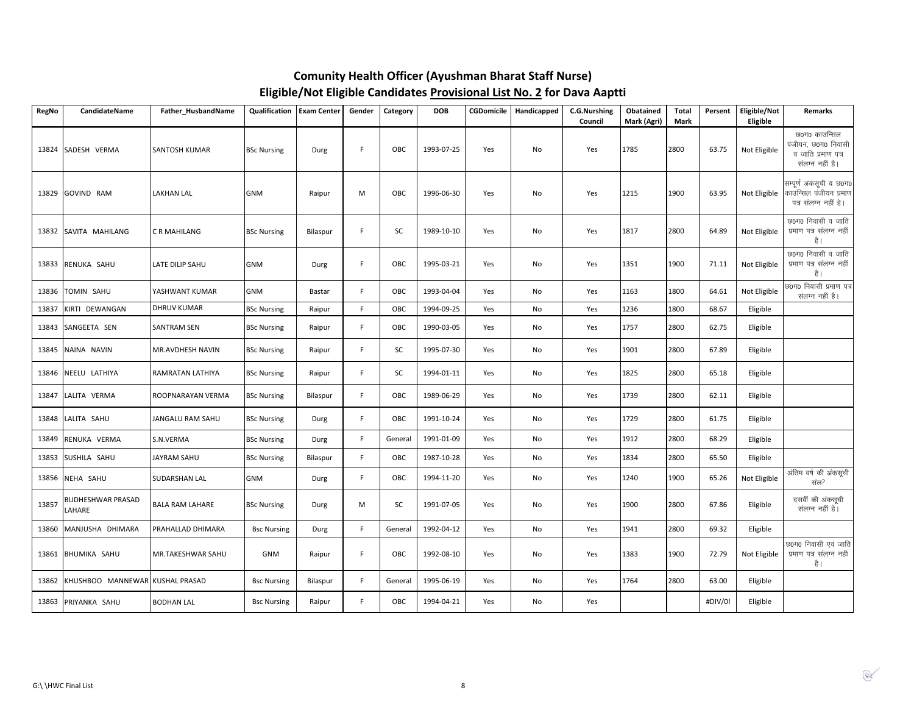| <b>RegNo</b> | CandidateName                   | Father_HusbandName     | Qualification      | <b>Exam Center</b> | Gender | Category | <b>DOB</b> | CGDomicile | Handicapped | <b>C.G.Nurshing</b><br>Council | Obatained<br>Mark (Agri) | Total<br>Mark | Persent | Eligible/Not<br>Eligible | <b>Remarks</b>                                                                |
|--------------|---------------------------------|------------------------|--------------------|--------------------|--------|----------|------------|------------|-------------|--------------------------------|--------------------------|---------------|---------|--------------------------|-------------------------------------------------------------------------------|
| 13824        | SADESH VERMA                    | <b>SANTOSH KUMAR</b>   | <b>BSc Nursing</b> | Durg               | F.     | OBC      | 1993-07-25 | Yes        | No          | Yes                            | 1785                     | 2800          | 63.75   | Not Eligible             | छ0ग0 काउन्सिल<br>पंजीयन, छ0ग0 निवासी<br>व जाति प्रमाण पत्र<br>संलग्न नहीं है। |
| 13829        | GOVIND RAM                      | <b>LAKHAN LAL</b>      | GNM                | Raipur             | M      | OBC      | 1996-06-30 | Yes        | No          | Yes                            | 1215                     | 1900          | 63.95   | Not Eligible             | सम्पूर्ण अंकसूची व छ0ग0<br>काउन्सिल पंजीयन प्रमाण<br>पत्र संलग्न नहीं है।     |
| 13832        | SAVITA MAHILANG                 | C R MAHILANG           | <b>BSc Nursing</b> | Bilaspur           | F.     | SC       | 1989-10-10 | Yes        | No          | Yes                            | 1817                     | 2800          | 64.89   | Not Eligible             | छ0ग0 निवासी व जाति<br>प्रमाण पत्र संलग्न नहीं<br>है।                          |
| 13833        | RENUKA SAHU                     | LATE DILIP SAHU        | <b>GNM</b>         | Durg               | F.     | OBC      | 1995-03-21 | Yes        | No          | Yes                            | 1351                     | 1900          | 71.11   | Not Eligible             | छ0ग0 निवासी व जाति<br>प्रमाण पत्र संलग्न नहीं<br>है।                          |
| 13836        | TOMIN SAHU                      | YASHWANT KUMAR         | <b>GNM</b>         | Bastar             | F.     | OBC      | 1993-04-04 | Yes        | No          | Yes                            | 1163                     | 1800          | 64.61   | Not Eligible             | छ0ग0 निवासी प्रमाण पत्र<br>संलग्न नहीं है।                                    |
| 13837        | KIRTI DEWANGAN                  | <b>DHRUV KUMAR</b>     | <b>BSc Nursing</b> | Raipur             | F.     | OBC      | 1994-09-25 | Yes        | No          | Yes                            | 1236                     | 1800          | 68.67   | Eligible                 |                                                                               |
| 13843        | SANGEETA SEN                    | <b>SANTRAM SEN</b>     | <b>BSc Nursing</b> | Raipur             | F.     | OBC      | 1990-03-05 | Yes        | No          | Yes                            | 1757                     | 2800          | 62.75   | Eligible                 |                                                                               |
| 13845        | NAINA NAVIN                     | MR.AVDHESH NAVIN       | <b>BSc Nursing</b> | Raipur             | F.     | SC       | 1995-07-30 | Yes        | No          | Yes                            | 1901                     | 2800          | 67.89   | Eligible                 |                                                                               |
| 13846        | NEELU LATHIYA                   | RAMRATAN LATHIYA       | <b>BSc Nursing</b> | Raipur             | F.     | SC       | 1994-01-11 | Yes        | No          | Yes                            | 1825                     | 2800          | 65.18   | Eligible                 |                                                                               |
| 13847        | LALITA VERMA                    | ROOPNARAYAN VERMA      | <b>BSc Nursing</b> | Bilaspur           | F.     | OBC      | 1989-06-29 | Yes        | No          | Yes                            | 1739                     | 2800          | 62.11   | Eligible                 |                                                                               |
| 13848        | LALITA SAHU                     | JANGALU RAM SAHU       | <b>BSc Nursing</b> | Durg               | F      | OBC      | 1991-10-24 | Yes        | No          | Yes                            | 1729                     | 2800          | 61.75   | Eligible                 |                                                                               |
| 13849        | RENUKA VERMA                    | S.N.VERMA              | <b>BSc Nursing</b> | Durg               | F.     | General  | 1991-01-09 | Yes        | No          | Yes                            | 1912                     | 2800          | 68.29   | Eligible                 |                                                                               |
| 13853        | SUSHILA SAHU                    | JAYRAM SAHU            | <b>BSc Nursing</b> | Bilaspur           | F.     | OBC      | 1987-10-28 | Yes        | No          | Yes                            | 1834                     | 2800          | 65.50   | Eligible                 |                                                                               |
| 13856        | NEHA SAHU                       | SUDARSHAN LAL          | GNM                | Durg               | F      | OBC      | 1994-11-20 | Yes        | No          | Yes                            | 1240                     | 1900          | 65.26   | Not Eligible             | अंतिम वर्ष की अंकसूची<br>संल?                                                 |
| 13857        | BUDHESHWAR PRASAD<br>LAHARE     | <b>BALA RAM LAHARE</b> | <b>BSc Nursing</b> | Durg               | M      | SC       | 1991-07-05 | Yes        | No          | Yes                            | 1900                     | 2800          | 67.86   | Eligible                 | दसवीं की अंकसूची<br>संलग्न नहीं है।                                           |
| 13860        | MANJUSHA DHIMARA                | PRAHALLAD DHIMARA      | <b>Bsc Nursing</b> | Durg               | F.     | General  | 1992-04-12 | Yes        | No          | Yes                            | 1941                     | 2800          | 69.32   | Eligible                 |                                                                               |
| 13861        | BHUMIKA SAHU                    | MR.TAKESHWAR SAHU      | <b>GNM</b>         | Raipur             | F.     | OBC      | 1992-08-10 | Yes        | No          | Yes                            | 1383                     | 1900          | 72.79   | Not Eligible             | छ0ग0 निवासी एवं जाति<br>प्रमाण पत्र संलग्न नही<br>है।                         |
| 13862        | KHUSHBOO MANNEWAR KUSHAL PRASAD |                        | <b>Bsc Nursing</b> | Bilaspur           | F.     | General  | 1995-06-19 | Yes        | No          | Yes                            | 1764                     | 2800          | 63.00   | Eligible                 |                                                                               |
| 13863        | PRIYANKA SAHU                   | <b>BODHAN LAL</b>      | <b>Bsc Nursing</b> | Raipur             | F.     | OBC      | 1994-04-21 | Yes        | No          | Yes                            |                          |               | #DIV/0! | Eligible                 |                                                                               |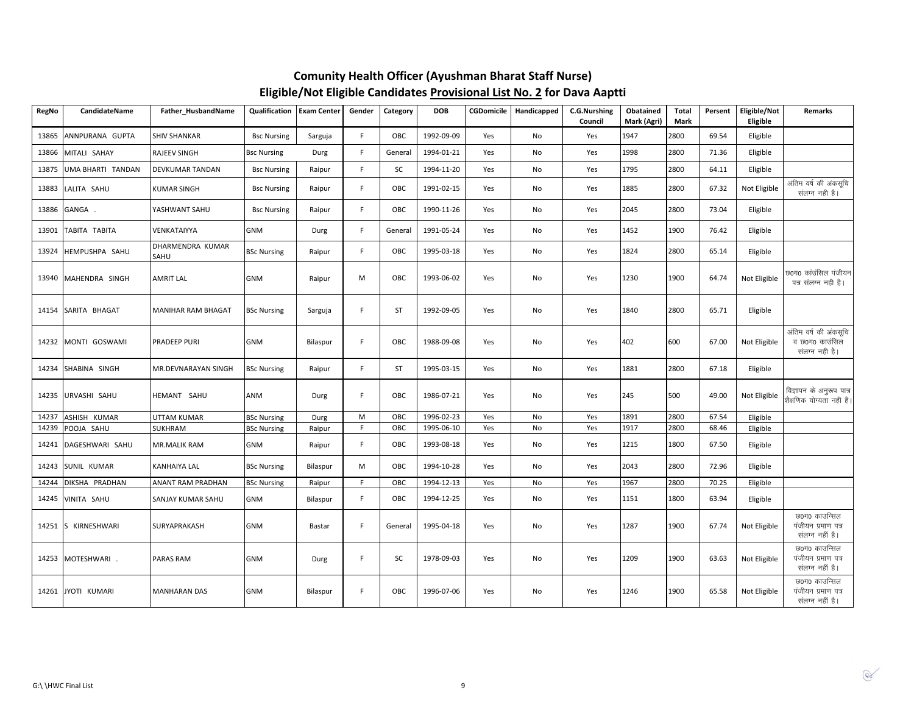| <b>RegNo</b> | CandidateName     | Father_HusbandName        | Qualification      | <b>Exam Center</b> | Gender         | Category  | <b>DOB</b> | <b>CGDomicile</b> | Handicapped   | <b>C.G.Nurshing</b><br>Council | Obatained<br>Mark (Agri) | <b>Total</b><br>Mark | Persent | Eligible/Not<br>Eligible | Remarks                                                   |
|--------------|-------------------|---------------------------|--------------------|--------------------|----------------|-----------|------------|-------------------|---------------|--------------------------------|--------------------------|----------------------|---------|--------------------------|-----------------------------------------------------------|
| 13865        | ANNPURANA GUPTA   | <b>SHIV SHANKAR</b>       | <b>Bsc Nursing</b> | Sarguja            | F.             | OBC       | 1992-09-09 | Yes               | No            | Yes                            | 1947                     | 2800                 | 69.54   | Eligible                 |                                                           |
| 13866        | MITALI SAHAY      | RAJEEV SINGH              | <b>Bsc Nursing</b> | Durg               | F.             | General   | 1994-01-21 | Yes               | No            | Yes                            | 1998                     | 2800                 | 71.36   | Eligible                 |                                                           |
| 13875        | UMA BHARTI TANDAN | DEVKUMAR TANDAN           | <b>Bsc Nursing</b> | Raipur             | F.             | SC        | 1994-11-20 | Yes               | No            | Yes                            | 1795                     | 2800                 | 64.11   | Eligible                 |                                                           |
| 13883        | LALITA SAHU       | KUMAR SINGH               | <b>Bsc Nursing</b> | Raipur             | F.             | OBC       | 1991-02-15 | Yes               | No            | Yes                            | 1885                     | 2800                 | 67.32   | Not Eligible             | अंतिम वर्ष की अंकसूचि<br>संलग्न नही है।                   |
| 13886        | GANGA.            | YASHWANT SAHU             | <b>Bsc Nursing</b> | Raipur             | F.             | OBC       | 1990-11-26 | Yes               | No            | Yes                            | 2045                     | 2800                 | 73.04   | Eligible                 |                                                           |
| 13901        | TABITA TABITA     | VENKATAIYYA               | <b>GNM</b>         | Durg               | F.             | General   | 1991-05-24 | Yes               | No            | Yes                            | 1452                     | 1900                 | 76.42   | Eligible                 |                                                           |
| 13924        | HEMPUSHPA SAHU    | DHARMENDRA KUMAR<br>SAHU  | <b>BSc Nursing</b> | Raipur             | F.             | OBC       | 1995-03-18 | Yes               | No            | Yes                            | 1824                     | 2800                 | 65.14   | Eligible                 |                                                           |
| 13940        | MAHENDRA SINGH    | <b>AMRIT LAL</b>          | <b>GNM</b>         | Raipur             | M              | OBC       | 1993-06-02 | Yes               | No            | Yes                            | 1230                     | 1900                 | 64.74   | Not Eligible             | छ0ग0 कांउंसिल पंजीयन<br>पत्र संलग्न नही है।               |
| 14154        | SARITA BHAGAT     | <b>MANIHAR RAM BHAGAT</b> | <b>BSc Nursing</b> | Sarguja            | F.             | ST        | 1992-09-05 | Yes               | No            | Yes                            | 1840                     | 2800                 | 65.71   | Eligible                 |                                                           |
| 14232        | MONTI GOSWAMI     | PRADEEP PURI              | <b>GNM</b>         | Bilaspur           | F.             | OBC       | 1988-09-08 | Yes               | No            | Yes                            | 402                      | 600                  | 67.00   | Not Eligible             | अंतिम वर्ष की अंकसूचि<br>व छ०ग० काउंसिल<br>संलग्न नही है। |
| 14234        | SHABINA SINGH     | MR.DEVNARAYAN SINGH       | <b>BSc Nursing</b> | Raipur             | F.             | <b>ST</b> | 1995-03-15 | Yes               | No            | Yes                            | 1881                     | 2800                 | 67.18   | Eligible                 |                                                           |
| 14235        | URVASHI SAHU      | HEMANT SAHU               | ANM                | Durg               | F.             | OBC       | 1986-07-21 | Yes               | No            | Yes                            | 245                      | 500                  | 49.00   | Not Eligible             | विज्ञापन के अनुरूप पात्र<br>शैक्षणिक योग्यता नहीं है।     |
| 14237        | ASHISH KUMAR      | UTTAM KUMAR               | <b>BSc Nursing</b> | Durg               | M              | OBC       | 1996-02-23 | Yes               | No            | Yes                            | 1891                     | 2800                 | 67.54   | Eligible                 |                                                           |
| 14239        | POOJA SAHU        | SUKHRAM                   | <b>BSc Nursing</b> | Raipur             | $\overline{F}$ | OBC       | 1995-06-10 | Yes               | $\mathsf{No}$ | Yes                            | 1917                     | 2800                 | 68.46   | Eligible                 |                                                           |
| 14241        | DAGESHWARI SAHU   | <b>MR.MALIK RAM</b>       | <b>GNM</b>         | Raipur             | F.             | OBC       | 1993-08-18 | Yes               | No            | Yes                            | 1215                     | 1800                 | 67.50   | Eligible                 |                                                           |
| 14243        | SUNIL KUMAR       | KANHAIYA LAL              | <b>BSc Nursing</b> | Bilaspur           | M              | OBC       | 1994-10-28 | Yes               | No            | Yes                            | 2043                     | 2800                 | 72.96   | Eligible                 |                                                           |
| 14244        | DIKSHA PRADHAN    | ANANT RAM PRADHAN         | <b>BSc Nursing</b> | Raipur             | F.             | OBC       | 1994-12-13 | Yes               | No            | Yes                            | 1967                     | 2800                 | 70.25   | Eligible                 |                                                           |
| 14245        | VINITA SAHU       | SANJAY KUMAR SAHU         | GNM                | Bilaspur           | F.             | OBC       | 1994-12-25 | Yes               | No            | Yes                            | 1151                     | 1800                 | 63.94   | Eligible                 |                                                           |
| 14251        | S KIRNESHWARI     | SURYAPRAKASH              | <b>GNM</b>         | Bastar             | F.             | General   | 1995-04-18 | Yes               | No            | Yes                            | 1287                     | 1900                 | 67.74   | Not Eligible             | छ0ग0 काउन्सिल<br>पंजीयन प्रमाण पत्र<br>संलग्न नहीं है।    |
| 14253        | MOTESHWARI.       | PARAS RAM                 | GNM                | Durg               | F.             | SC        | 1978-09-03 | Yes               | No            | Yes                            | 1209                     | 1900                 | 63.63   | Not Eligible             | पंजीयन प्रमाण पत्र<br>संलग्न नहीं है।                     |
| 14261        | JYOTI KUMARI      | <b>MANHARAN DAS</b>       | <b>GNM</b>         | Bilaspur           | F.             | OBC       | 1996-07-06 | Yes               | No            | Yes                            | 1246                     | 1900                 | 65.58   | Not Eligible             | छ0ग0 काउन्सिल<br>पंजीयन प्रमाण पत्र<br>संलग्न नहीं है।    |